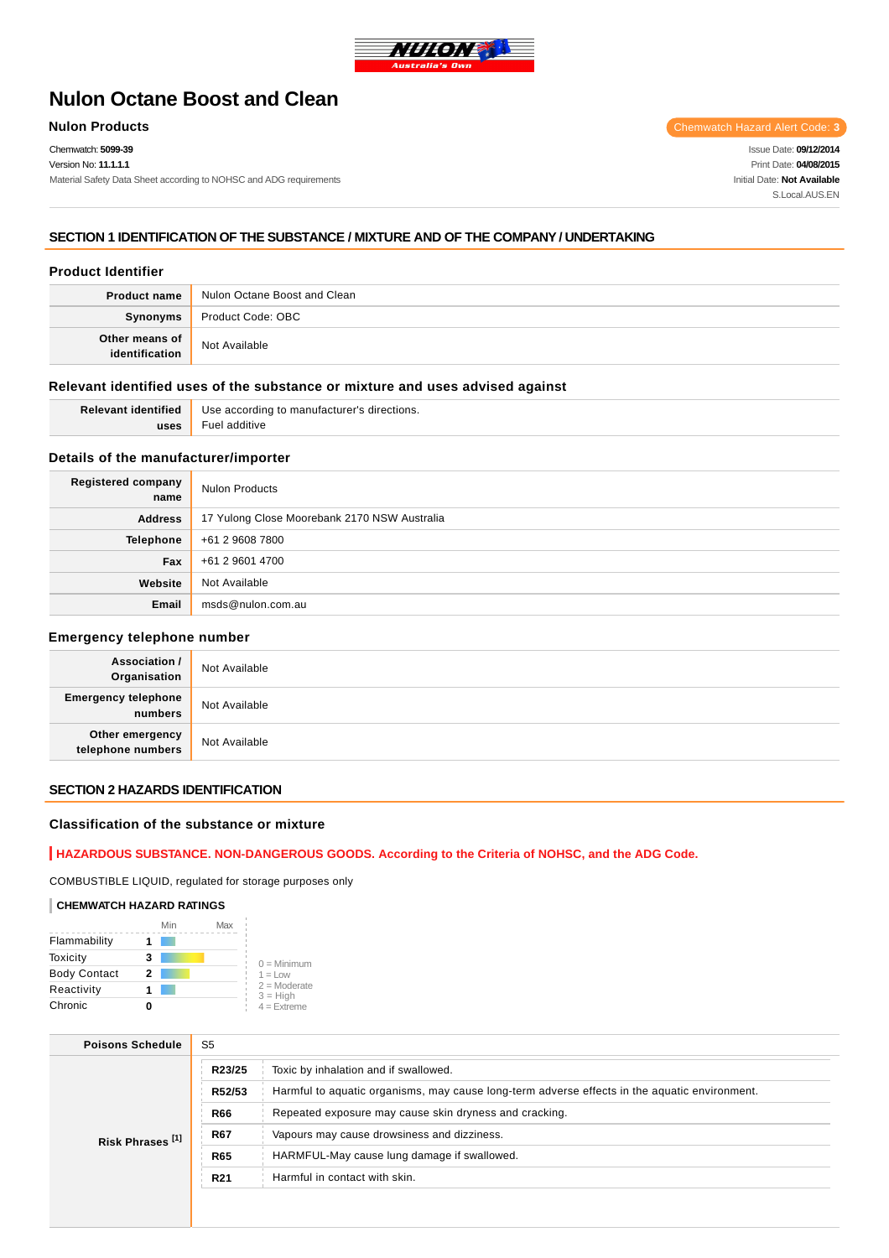

# **Nulon Octane Boost and Clean**

Chemwatch: **5099-39**

Version No: **11.1.1.1**

Material Safety Data Sheet according to NOHSC and ADG requirements

**Nulon Products** Chemwatch Hazard Alert Code: 3

Issue Date: **09/12/2014** Print Date: **04/08/2015** Initial Date: **Not Available** S.Local AUS FN

## **SECTION 1 IDENTIFICATION OF THE SUBSTANCE / MIXTURE AND OF THE COMPANY / UNDERTAKING**

## **Product Identifier**

| <b>Product name</b> | Nulon Octane Boost and Clean |
|---------------------|------------------------------|
| Synonyms            | Product Code: OBC            |
| Other means of      | Not Available                |

## **Relevant identified uses of the substance or mixture and uses advised against**

| Relevant identified | Use according to manufacturer's directions. |
|---------------------|---------------------------------------------|
| uses                | Fuel additive                               |

## **Details of the manufacturer/importer**

| <b>Registered company</b><br>name | <b>Nulon Products</b>                        |
|-----------------------------------|----------------------------------------------|
| <b>Address</b>                    | 17 Yulong Close Moorebank 2170 NSW Australia |
| <b>Telephone</b>                  | +61 2 9608 7800                              |
| Fax                               | +61 2 9601 4700                              |
| Website                           | Not Available                                |
| Email                             | msds@nulon.com.au                            |

#### **Emergency telephone number**

| <b>Association /</b><br>Organisation  | Not Available |
|---------------------------------------|---------------|
| <b>Emergency telephone</b><br>numbers | Not Available |
| Other emergency<br>telephone numbers  | Not Available |

## **SECTION 2 HAZARDS IDENTIFICATION**

## **Classification of the substance or mixture**

## **HAZARDOUS SUBSTANCE. NON-DANGEROUS GOODS. According to the Criteria of NOHSC, and the ADG Code.**

COMBUSTIBLE LIQUID, regulated for storage purposes only

#### **CHEMWATCH HAZARD RATINGS**

|                     | Min | Max |                              |
|---------------------|-----|-----|------------------------------|
| Flammability        |     |     |                              |
| Toxicity            | з   |     | $0 =$ Minimum                |
| <b>Body Contact</b> | 2   |     | $1 = Low$                    |
| Reactivity          |     |     | $2 =$ Moderate<br>$3 = High$ |
| Chronic             |     |     | $4 =$ Extreme                |

| <b>Poisons Schedule</b>     | S <sub>5</sub>  |                                                                                               |  |  |
|-----------------------------|-----------------|-----------------------------------------------------------------------------------------------|--|--|
| Risk Phrases <sup>[1]</sup> | R23/25          | Toxic by inhalation and if swallowed.                                                         |  |  |
|                             | R52/53          | Harmful to aquatic organisms, may cause long-term adverse effects in the aquatic environment. |  |  |
|                             | <b>R66</b>      | Repeated exposure may cause skin dryness and cracking.                                        |  |  |
|                             | <b>R67</b>      | Vapours may cause drowsiness and dizziness.                                                   |  |  |
|                             | <b>R65</b>      | HARMFUL-May cause lung damage if swallowed.                                                   |  |  |
|                             | R <sub>21</sub> | Harmful in contact with skin.                                                                 |  |  |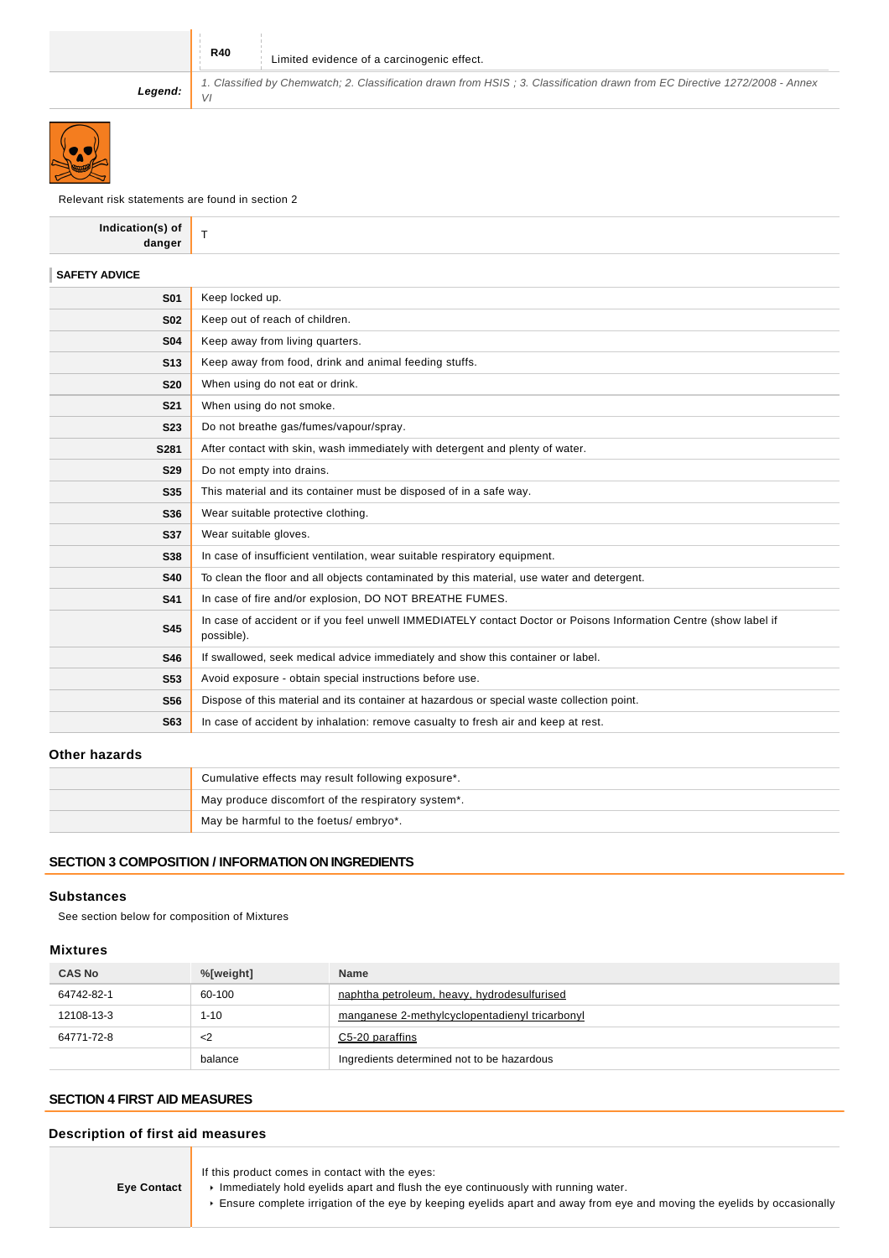VI

**Legend:**

Relevant risk statements are found in section 2

| Indication(s) of<br>danger | T.                                                                                                                              |
|----------------------------|---------------------------------------------------------------------------------------------------------------------------------|
| <b>SAFETY ADVICE</b>       |                                                                                                                                 |
| <b>S01</b>                 | Keep locked up.                                                                                                                 |
| <b>S02</b>                 | Keep out of reach of children.                                                                                                  |
| <b>S04</b>                 | Keep away from living quarters.                                                                                                 |
| <b>S13</b>                 | Keep away from food, drink and animal feeding stuffs.                                                                           |
| <b>S20</b>                 | When using do not eat or drink.                                                                                                 |
| <b>S21</b>                 | When using do not smoke.                                                                                                        |
| <b>S23</b>                 | Do not breathe gas/fumes/vapour/spray.                                                                                          |
| S281                       | After contact with skin, wash immediately with detergent and plenty of water.                                                   |
| <b>S29</b>                 | Do not empty into drains.                                                                                                       |
| <b>S35</b>                 | This material and its container must be disposed of in a safe way.                                                              |
| S36                        | Wear suitable protective clothing.                                                                                              |
| <b>S37</b>                 | Wear suitable gloves.                                                                                                           |
| <b>S38</b>                 | In case of insufficient ventilation, wear suitable respiratory equipment.                                                       |
| <b>S40</b>                 | To clean the floor and all objects contaminated by this material, use water and detergent.                                      |
| <b>S41</b>                 | In case of fire and/or explosion, DO NOT BREATHE FUMES.                                                                         |
| <b>S45</b>                 | In case of accident or if you feel unwell IMMEDIATELY contact Doctor or Poisons Information Centre (show label if<br>possible). |
| <b>S46</b>                 | If swallowed, seek medical advice immediately and show this container or label.                                                 |
| <b>S53</b>                 | Avoid exposure - obtain special instructions before use.                                                                        |
| <b>S56</b>                 | Dispose of this material and its container at hazardous or special waste collection point.                                      |
| S63                        | In case of accident by inhalation: remove casualty to fresh air and keep at rest.                                               |
|                            |                                                                                                                                 |

1. Classified by Chemwatch; 2. Classification drawn from HSIS ; 3. Classification drawn from EC Directive 1272/2008 - Annex

## **Other hazards**

| Cumulative effects may result following exposure*. |
|----------------------------------------------------|
| May produce discomfort of the respiratory system*. |
| May be harmful to the foetus/ embryo*.             |

## **SECTION 3 COMPOSITION / INFORMATION ON INGREDIENTS**

#### **Substances**

See section below for composition of Mixtures

## **Mixtures**

| <b>CAS No</b> | %[weight] | <b>Name</b>                                    |
|---------------|-----------|------------------------------------------------|
| 64742-82-1    | 60-100    | naphtha petroleum, heavy, hydrodesulfurised    |
| 12108-13-3    | $1 - 10$  | manganese 2-methylcyclopentadienyl tricarbonyl |
| 64771-72-8    | <2        | C5-20 paraffins                                |
|               | balance   | Ingredients determined not to be hazardous     |

## **SECTION 4 FIRST AID MEASURES**

## **Description of first aid measures**

| <b>Eye Contact</b> | If this product comes in contact with the eyes:<br>Immediately hold eyelids apart and flush the eye continuously with running water.<br>Ensure complete irrigation of the eye by keeping eyelids apart and away from eye and moving the eyelids by occasionally |
|--------------------|-----------------------------------------------------------------------------------------------------------------------------------------------------------------------------------------------------------------------------------------------------------------|
|--------------------|-----------------------------------------------------------------------------------------------------------------------------------------------------------------------------------------------------------------------------------------------------------------|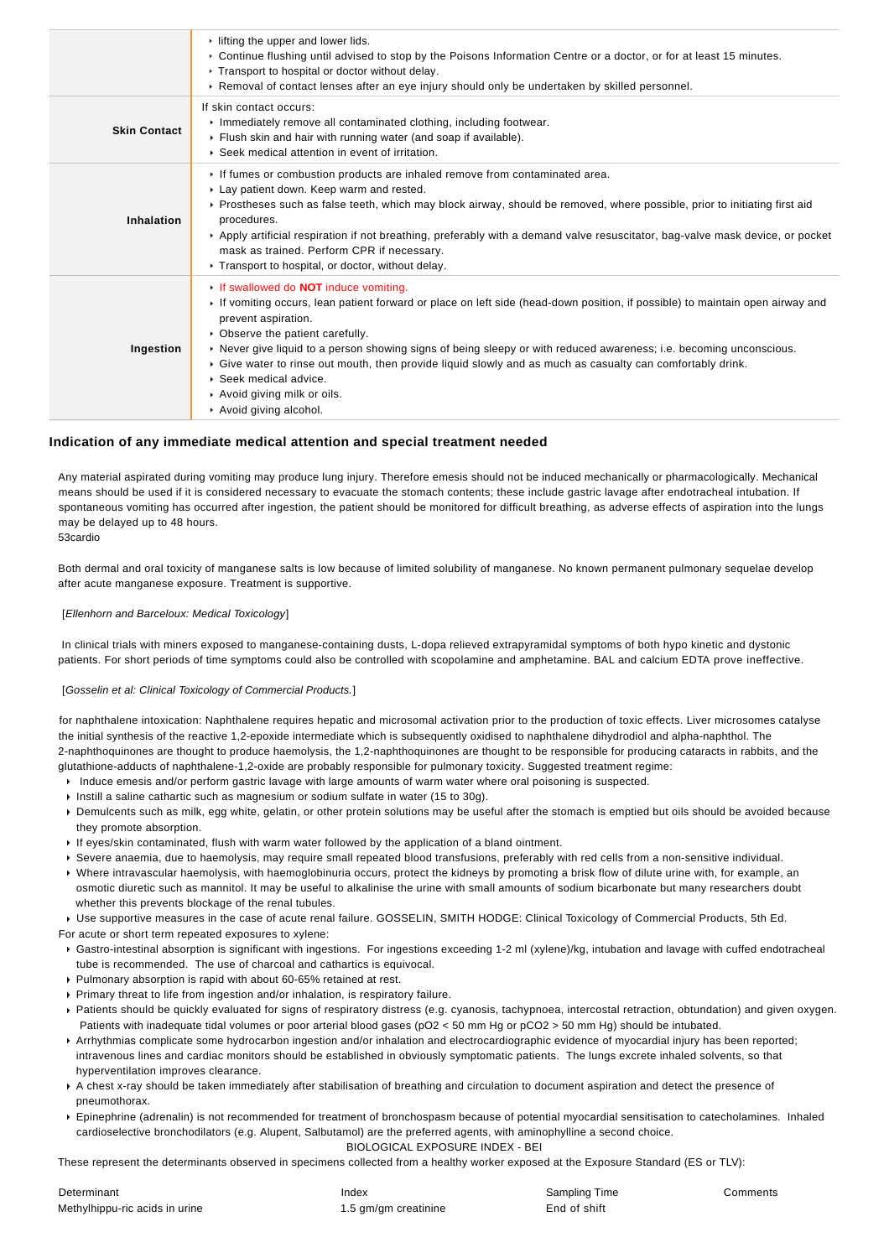|                     | $\cdot$ lifting the upper and lower lids.<br>▶ Continue flushing until advised to stop by the Poisons Information Centre or a doctor, or for at least 15 minutes.<br>▶ Transport to hospital or doctor without delay.<br>► Removal of contact lenses after an eye injury should only be undertaken by skilled personnel.                                                                                                                                                                                                                                                      |
|---------------------|-------------------------------------------------------------------------------------------------------------------------------------------------------------------------------------------------------------------------------------------------------------------------------------------------------------------------------------------------------------------------------------------------------------------------------------------------------------------------------------------------------------------------------------------------------------------------------|
| <b>Skin Contact</b> | If skin contact occurs:<br>Inmediately remove all contaminated clothing, including footwear.<br>Flush skin and hair with running water (and soap if available).<br>▶ Seek medical attention in event of irritation.                                                                                                                                                                                                                                                                                                                                                           |
| Inhalation          | If fumes or combustion products are inhaled remove from contaminated area.<br>Lay patient down. Keep warm and rested.<br>▶ Prostheses such as false teeth, which may block airway, should be removed, where possible, prior to initiating first aid<br>procedures.<br>▶ Apply artificial respiration if not breathing, preferably with a demand valve resuscitator, bag-valve mask device, or pocket<br>mask as trained. Perform CPR if necessary.<br>Transport to hospital, or doctor, without delay.                                                                        |
| Ingestion           | If swallowed do <b>NOT</b> induce vomiting.<br>► If vomiting occurs, lean patient forward or place on left side (head-down position, if possible) to maintain open airway and<br>prevent aspiration.<br>• Observe the patient carefully.<br>▶ Never give liquid to a person showing signs of being sleepy or with reduced awareness; i.e. becoming unconscious.<br>► Give water to rinse out mouth, then provide liquid slowly and as much as casualty can comfortably drink.<br>$\triangleright$ Seek medical advice.<br>Avoid giving milk or oils.<br>Avoid giving alcohol. |

#### **Indication of any immediate medical attention and special treatment needed**

Any material aspirated during vomiting may produce lung injury. Therefore emesis should not be induced mechanically or pharmacologically. Mechanical means should be used if it is considered necessary to evacuate the stomach contents; these include gastric lavage after endotracheal intubation. If spontaneous vomiting has occurred after ingestion, the patient should be monitored for difficult breathing, as adverse effects of aspiration into the lungs may be delayed up to 48 hours.

53cardio

Both dermal and oral toxicity of manganese salts is low because of limited solubility of manganese. No known permanent pulmonary sequelae develop after acute manganese exposure. Treatment is supportive.

#### [Ellenhorn and Barceloux: Medical Toxicology]

 In clinical trials with miners exposed to manganese-containing dusts, L-dopa relieved extrapyramidal symptoms of both hypo kinetic and dystonic patients. For short periods of time symptoms could also be controlled with scopolamine and amphetamine. BAL and calcium EDTA prove ineffective.

#### [Gosselin et al: Clinical Toxicology of Commercial Products.]

for naphthalene intoxication: Naphthalene requires hepatic and microsomal activation prior to the production of toxic effects. Liver microsomes catalyse the initial synthesis of the reactive 1,2-epoxide intermediate which is subsequently oxidised to naphthalene dihydrodiol and alpha-naphthol. The 2-naphthoquinones are thought to produce haemolysis, the 1,2-naphthoquinones are thought to be responsible for producing cataracts in rabbits, and the glutathione-adducts of naphthalene-1,2-oxide are probably responsible for pulmonary toxicity. Suggested treatment regime:

- Induce emesis and/or perform gastric lavage with large amounts of warm water where oral poisoning is suspected.
- Instill a saline cathartic such as magnesium or sodium sulfate in water (15 to 30g).
- Demulcents such as milk, egg white, gelatin, or other protein solutions may be useful after the stomach is emptied but oils should be avoided because they promote absorption.
- If eyes/skin contaminated, flush with warm water followed by the application of a bland ointment.
- Severe anaemia, due to haemolysis, may require small repeated blood transfusions, preferably with red cells from a non-sensitive individual.
- Where intravascular haemolysis, with haemoglobinuria occurs, protect the kidneys by promoting a brisk flow of dilute urine with, for example, an osmotic diuretic such as mannitol. It may be useful to alkalinise the urine with small amounts of sodium bicarbonate but many researchers doubt whether this prevents blockage of the renal tubules.

Use supportive measures in the case of acute renal failure. GOSSELIN, SMITH HODGE: Clinical Toxicology of Commercial Products, 5th Ed.

For acute or short term repeated exposures to xylene:

- Gastro-intestinal absorption is significant with ingestions. For ingestions exceeding 1-2 ml (xylene)/kg, intubation and lavage with cuffed endotracheal tube is recommended. The use of charcoal and cathartics is equivocal.
- Pulmonary absorption is rapid with about 60-65% retained at rest.
- Primary threat to life from ingestion and/or inhalation, is respiratory failure.
- Patients should be quickly evaluated for signs of respiratory distress (e.g. cyanosis, tachypnoea, intercostal retraction, obtundation) and given oxygen. Patients with inadequate tidal volumes or poor arterial blood gases (pO2 < 50 mm Hg or pCO2 > 50 mm Hg) should be intubated.
- Arrhythmias complicate some hydrocarbon ingestion and/or inhalation and electrocardiographic evidence of myocardial injury has been reported; intravenous lines and cardiac monitors should be established in obviously symptomatic patients. The lungs excrete inhaled solvents, so that hyperventilation improves clearance.
- A chest x-ray should be taken immediately after stabilisation of breathing and circulation to document aspiration and detect the presence of pneumothorax.
- Epinephrine (adrenalin) is not recommended for treatment of bronchospasm because of potential myocardial sensitisation to catecholamines. Inhaled cardioselective bronchodilators (e.g. Alupent, Salbutamol) are the preferred agents, with aminophylline a second choice. BIOLOGICAL EXPOSURE INDEX - BEI

These represent the determinants observed in specimens collected from a healthy worker exposed at the Exposure Standard (ES or TLV):

| Determinant                    | Index                | Sampling Time | Comments |
|--------------------------------|----------------------|---------------|----------|
| Methylhippu-ric acids in urine | 1.5 gm/gm creatinine | End of shift  |          |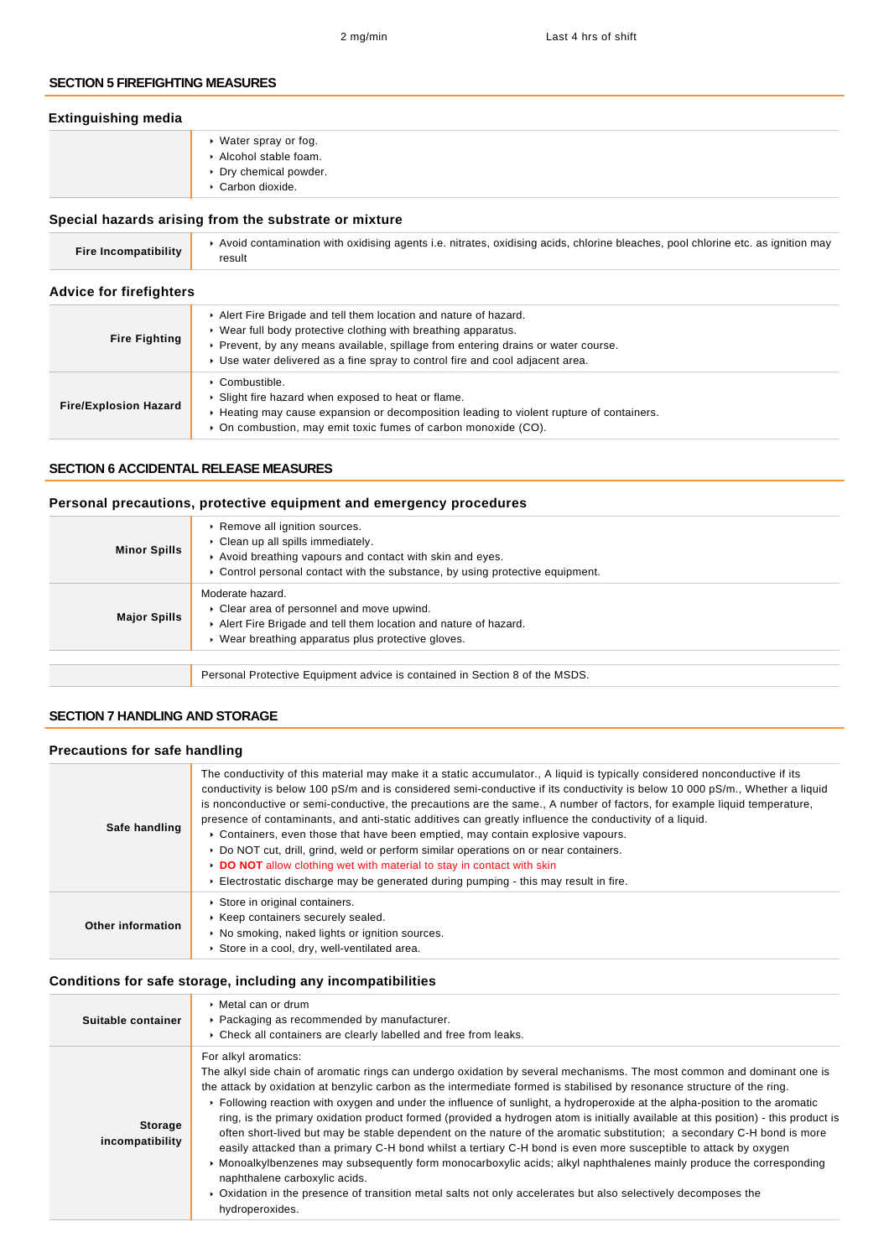### **SECTION 5 FIREFIGHTING MEASURES**

| <b>Extinguishing media</b> |                                                                                            |
|----------------------------|--------------------------------------------------------------------------------------------|
|                            | ▸ Water spray or fog.<br>Alcohol stable foam.<br>▶ Dry chemical powder.<br>Carbon dioxide. |

## **Special hazards arising from the substrate or mixture**

| <b>Fire Incompatibility</b>    | Avoid contamination with oxidising agents i.e. nitrates, oxidising acids, chlorine bleaches, pool chlorine etc. as ignition may<br>result                                                                                                                                                               |
|--------------------------------|---------------------------------------------------------------------------------------------------------------------------------------------------------------------------------------------------------------------------------------------------------------------------------------------------------|
| <b>Advice for firefighters</b> |                                                                                                                                                                                                                                                                                                         |
| <b>Fire Fighting</b>           | Alert Fire Brigade and tell them location and nature of hazard.<br>► Wear full body protective clothing with breathing apparatus.<br>► Prevent, by any means available, spillage from entering drains or water course.<br>► Use water delivered as a fine spray to control fire and cool adjacent area. |
| <b>Fire/Explosion Hazard</b>   | $\triangleright$ Combustible.<br>• Slight fire hazard when exposed to heat or flame.<br>► Heating may cause expansion or decomposition leading to violent rupture of containers.<br>• On combustion, may emit toxic fumes of carbon monoxide (CO).                                                      |

## **SECTION 6 ACCIDENTAL RELEASE MEASURES**

## **Personal precautions, protective equipment and emergency procedures**

| <b>Minor Spills</b> | ▶ Remove all ignition sources.<br>Clean up all spills immediately.<br>Avoid breathing vapours and contact with skin and eyes.<br>$\triangleright$ Control personal contact with the substance, by using protective equipment. |
|---------------------|-------------------------------------------------------------------------------------------------------------------------------------------------------------------------------------------------------------------------------|
| <b>Major Spills</b> | Moderate hazard.<br>Clear area of personnel and move upwind.<br>Alert Fire Brigade and tell them location and nature of hazard.<br>• Wear breathing apparatus plus protective gloves.                                         |
|                     |                                                                                                                                                                                                                               |
|                     | Personal Protective Equipment advice is contained in Section 8 of the MSDS.                                                                                                                                                   |

## **SECTION 7 HANDLING AND STORAGE**

## **Precautions for safe handling**

| Safe handling     | The conductivity of this material may make it a static accumulator., A liquid is typically considered nonconductive if its<br>conductivity is below 100 pS/m and is considered semi-conductive if its conductivity is below 10 000 pS/m., Whether a liquid<br>is nonconductive or semi-conductive, the precautions are the same., A number of factors, for example liquid temperature,<br>presence of contaminants, and anti-static additives can greatly influence the conductivity of a liquid.<br>► Containers, even those that have been emptied, may contain explosive vapours.<br>▶ Do NOT cut, drill, grind, weld or perform similar operations on or near containers.<br>DO NOT allow clothing wet with material to stay in contact with skin<br>Electrostatic discharge may be generated during pumping - this may result in fire. |
|-------------------|---------------------------------------------------------------------------------------------------------------------------------------------------------------------------------------------------------------------------------------------------------------------------------------------------------------------------------------------------------------------------------------------------------------------------------------------------------------------------------------------------------------------------------------------------------------------------------------------------------------------------------------------------------------------------------------------------------------------------------------------------------------------------------------------------------------------------------------------|
| Other information | Store in original containers.<br>▶ Keep containers securely sealed.<br>• No smoking, naked lights or ignition sources.<br>Store in a cool, dry, well-ventilated area.                                                                                                                                                                                                                                                                                                                                                                                                                                                                                                                                                                                                                                                                       |

## **Conditions for safe storage, including any incompatibilities**

| Suitable container                | $\triangleright$ Metal can or drum<br>▶ Packaging as recommended by manufacturer.<br>▶ Check all containers are clearly labelled and free from leaks.                                                                                                                                                                                                                                                                                                                                                                                                                                                                                                                                                                                                                                                                                                                                                                                                                                                                                                                                   |
|-----------------------------------|-----------------------------------------------------------------------------------------------------------------------------------------------------------------------------------------------------------------------------------------------------------------------------------------------------------------------------------------------------------------------------------------------------------------------------------------------------------------------------------------------------------------------------------------------------------------------------------------------------------------------------------------------------------------------------------------------------------------------------------------------------------------------------------------------------------------------------------------------------------------------------------------------------------------------------------------------------------------------------------------------------------------------------------------------------------------------------------------|
| <b>Storage</b><br>incompatibility | For alkyl aromatics:<br>The alkyl side chain of aromatic rings can undergo oxidation by several mechanisms. The most common and dominant one is<br>the attack by oxidation at benzylic carbon as the intermediate formed is stabilised by resonance structure of the ring.<br>Following reaction with oxygen and under the influence of sunlight, a hydroperoxide at the alpha-position to the aromatic<br>ring, is the primary oxidation product formed (provided a hydrogen atom is initially available at this position) - this product is<br>often short-lived but may be stable dependent on the nature of the aromatic substitution; a secondary C-H bond is more<br>easily attacked than a primary C-H bond whilst a tertiary C-H bond is even more susceptible to attack by oxygen<br>• Monoalkylbenzenes may subsequently form monocarboxylic acids; alkyl naphthalenes mainly produce the corresponding<br>naphthalene carboxylic acids.<br>• Oxidation in the presence of transition metal salts not only accelerates but also selectively decomposes the<br>hydroperoxides. |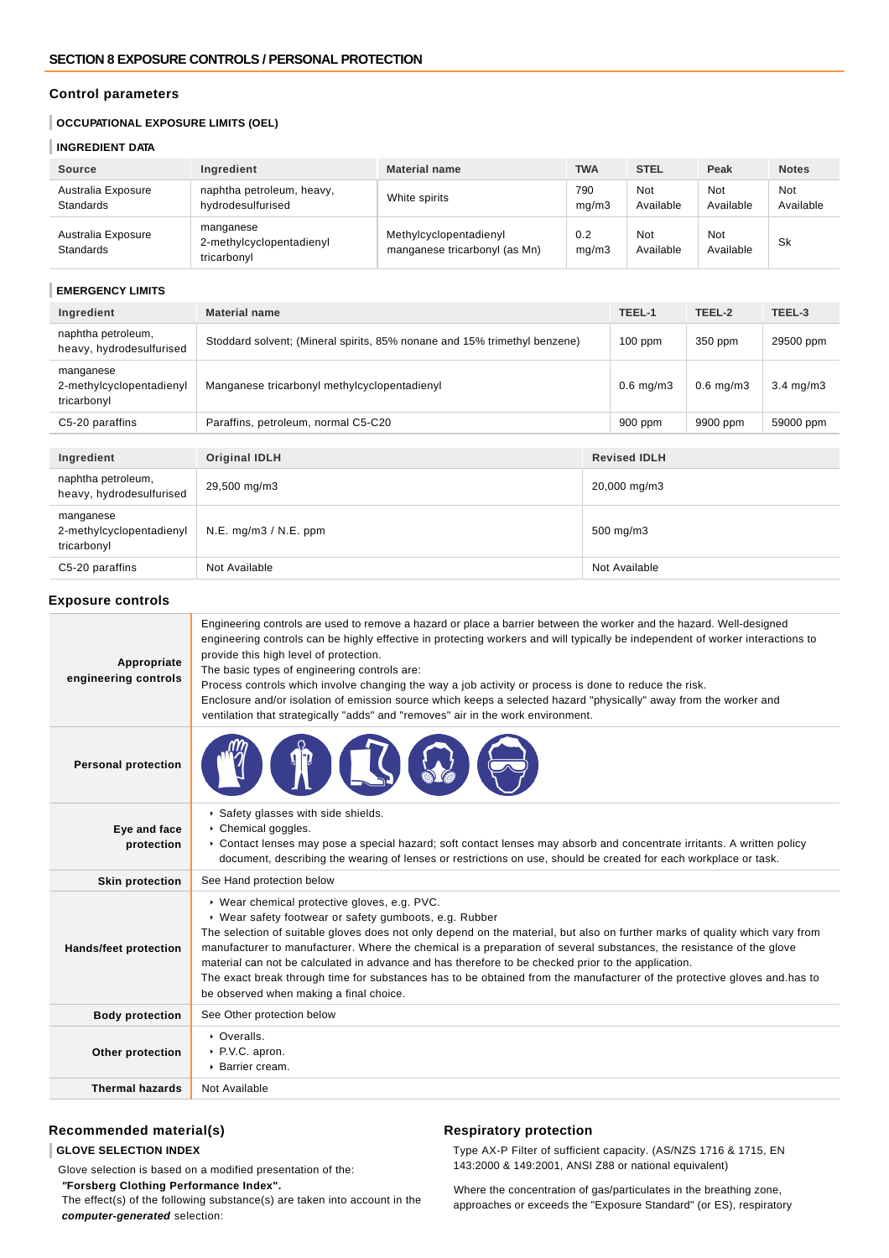## **Control parameters**

## **OCCUPATIONAL EXPOSURE LIMITS (OEL)**

### **INGREDIENT DATA**

| <b>Source</b>                          | Ingredient                                           | <b>Material name</b>                                    | <b>TWA</b>   | <b>STEL</b>             | Peak             | <b>Notes</b>            |
|----------------------------------------|------------------------------------------------------|---------------------------------------------------------|--------------|-------------------------|------------------|-------------------------|
| Australia Exposure<br><b>Standards</b> | naphtha petroleum, heavy,<br>hydrodesulfurised       | White spirits                                           | 790<br>mq/m3 | <b>Not</b><br>Available | Not<br>Available | <b>Not</b><br>Available |
| Australia Exposure<br><b>Standards</b> | manganese<br>2-methylcyclopentadienyl<br>tricarbonyl | Methylcyclopentadienyl<br>manganese tricarbonyl (as Mn) | 0.2<br>mq/m3 | <b>Not</b><br>Available | Not<br>Available | Sk                      |

### **EMERGENCY LIMITS**

| Ingredient                                           | <b>Material name</b>                                                      |              | TEEL-1              | TEEL-2         | TEEL-3             |
|------------------------------------------------------|---------------------------------------------------------------------------|--------------|---------------------|----------------|--------------------|
| naphtha petroleum,<br>heavy, hydrodesulfurised       | Stoddard solvent; (Mineral spirits, 85% nonane and 15% trimethyl benzene) |              | $100$ ppm           | 350 ppm        | 29500 ppm          |
| manganese<br>2-methylcyclopentadienyl<br>tricarbonyl | Manganese tricarbonyl methylcyclopentadienyl                              |              | $0.6$ mg/m $3$      | $0.6$ mg/m $3$ | $3.4 \text{ mg/m}$ |
| C5-20 paraffins                                      | Paraffins, petroleum, normal C5-C20                                       |              | 900 ppm             | 9900 ppm       | 59000 ppm          |
|                                                      |                                                                           |              |                     |                |                    |
| Ingredient                                           | <b>Original IDLH</b>                                                      |              | <b>Revised IDLH</b> |                |                    |
| naphtha petroleum,<br>heavy, hydrodesulfurised       | 29,500 mg/m3                                                              | 20,000 mg/m3 |                     |                |                    |
| manganese<br>2-methylcyclopentadienyl<br>tricarbonyl | N.E. mg/m3 / N.E. ppm                                                     | 500 mg/m3    |                     |                |                    |
| C5-20 paraffins                                      | Not Available                                                             |              | Not Available       |                |                    |

### **Exposure controls**

| Appropriate<br>engineering controls | Engineering controls are used to remove a hazard or place a barrier between the worker and the hazard. Well-designed<br>engineering controls can be highly effective in protecting workers and will typically be independent of worker interactions to<br>provide this high level of protection.<br>The basic types of engineering controls are:<br>Process controls which involve changing the way a job activity or process is done to reduce the risk.<br>Enclosure and/or isolation of emission source which keeps a selected hazard "physically" away from the worker and<br>ventilation that strategically "adds" and "removes" air in the work environment. |  |
|-------------------------------------|--------------------------------------------------------------------------------------------------------------------------------------------------------------------------------------------------------------------------------------------------------------------------------------------------------------------------------------------------------------------------------------------------------------------------------------------------------------------------------------------------------------------------------------------------------------------------------------------------------------------------------------------------------------------|--|
| <b>Personal protection</b>          |                                                                                                                                                                                                                                                                                                                                                                                                                                                                                                                                                                                                                                                                    |  |
| Eye and face<br>protection          | Safety glasses with side shields.<br>Chemical goggles.<br>► Contact lenses may pose a special hazard; soft contact lenses may absorb and concentrate irritants. A written policy<br>document, describing the wearing of lenses or restrictions on use, should be created for each workplace or task.                                                                                                                                                                                                                                                                                                                                                               |  |
| <b>Skin protection</b>              | See Hand protection below                                                                                                                                                                                                                                                                                                                                                                                                                                                                                                                                                                                                                                          |  |
| <b>Hands/feet protection</b>        | ▶ Wear chemical protective gloves, e.g. PVC.<br>▶ Wear safety footwear or safety gumboots, e.g. Rubber<br>The selection of suitable gloves does not only depend on the material, but also on further marks of quality which vary from<br>manufacturer to manufacturer. Where the chemical is a preparation of several substances, the resistance of the glove<br>material can not be calculated in advance and has therefore to be checked prior to the application.<br>The exact break through time for substances has to be obtained from the manufacturer of the protective gloves and has to<br>be observed when making a final choice.                        |  |
| <b>Body protection</b>              | See Other protection below                                                                                                                                                                                                                                                                                                                                                                                                                                                                                                                                                                                                                                         |  |
| Other protection                    | • Overalls.<br>▶ P.V.C. apron.<br>▶ Barrier cream.                                                                                                                                                                                                                                                                                                                                                                                                                                                                                                                                                                                                                 |  |
| <b>Thermal hazards</b>              | Not Available                                                                                                                                                                                                                                                                                                                                                                                                                                                                                                                                                                                                                                                      |  |

## **Recommended material(s)**

## **GLOVE SELECTION INDEX**

Glove selection is based on a modified presentation of the:  **"Forsberg Clothing Performance Index".** The effect(s) of the following substance(s) are taken into account in the **computer-generated** selection:

#### **Respiratory protection**

Type AX-P Filter of sufficient capacity. (AS/NZS 1716 & 1715, EN 143:2000 & 149:2001, ANSI Z88 or national equivalent)

Where the concentration of gas/particulates in the breathing zone, approaches or exceeds the "Exposure Standard" (or ES), respiratory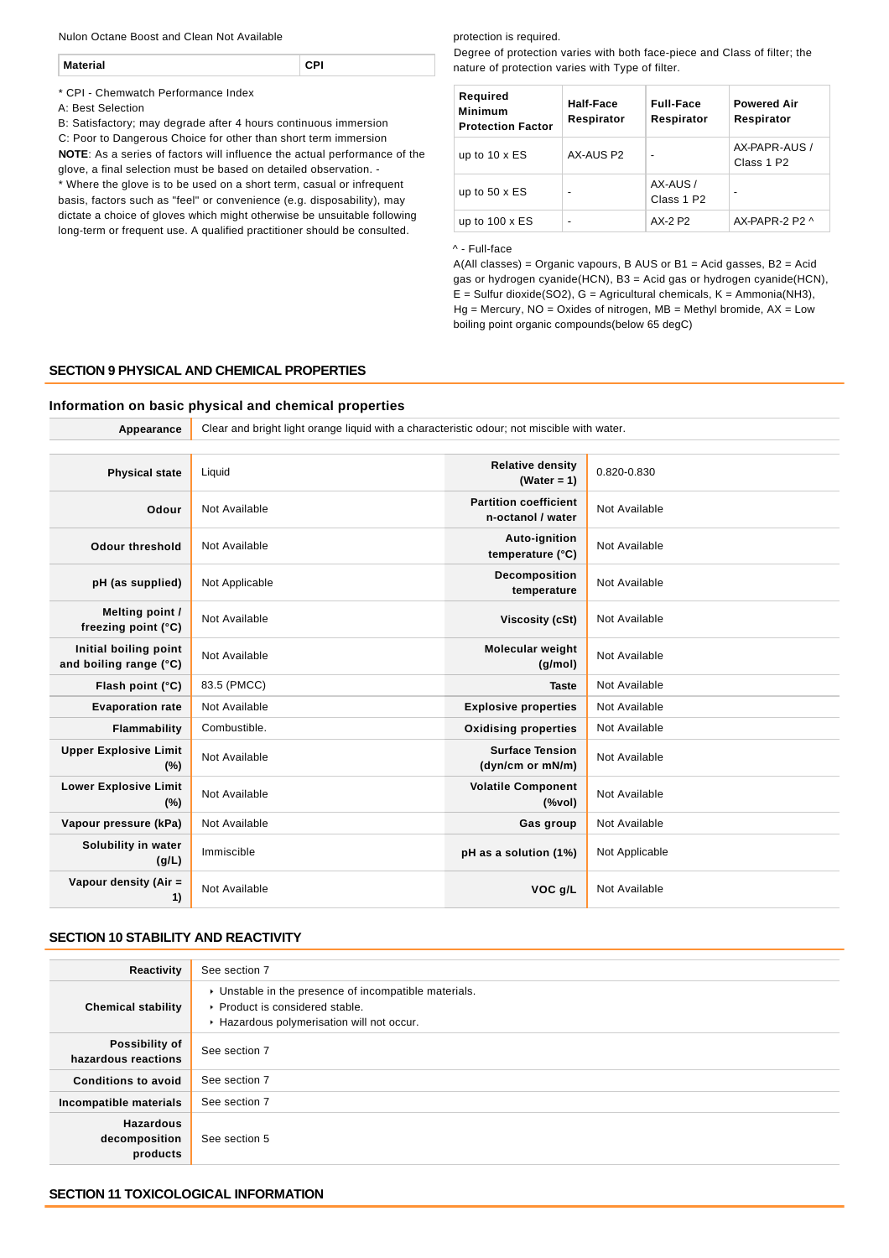Nulon Octane Boost and Clean Not Available

| Mat |
|-----|
|-----|

\* CPI - Chemwatch Performance Index

A: Best Selection

B: Satisfactory; may degrade after 4 hours continuous immersion C: Poor to Dangerous Choice for other than short term immersion **NOTE**: As a series of factors will influence the actual performance of the glove, a final selection must be based on detailed observation. -

\* Where the glove is to be used on a short term, casual or infrequent basis, factors such as "feel" or convenience (e.g. disposability), may dictate a choice of gloves which might otherwise be unsuitable following long-term or frequent use. A qualified practitioner should be consulted.

#### protection is required.

Degree of protection varies with both face-piece and Class of filter; the nature of protection varies with Type of filter.

| Required<br><b>Minimum</b><br><b>Protection Factor</b> | Half-Face<br>Respirator  | <b>Full-Face</b><br>Respirator     | <b>Powered Air</b><br>Respirator        |
|--------------------------------------------------------|--------------------------|------------------------------------|-----------------------------------------|
| up to $10 \times ES$                                   | AX-AUS P2                | ۰                                  | AX-PAPR-AUS /<br>Class 1 P <sub>2</sub> |
| up to $50 \times ES$                                   | $\overline{\phantom{0}}$ | AX-AUS /<br>Class 1 P <sub>2</sub> | -                                       |
| up to $100 \times ES$                                  |                          | AX-2 P2                            | $AX-PAPR-2P2 \wedge$                    |

#### ^ - Full-face

A(All classes) = Organic vapours, B AUS or B1 = Acid gasses, B2 = Acid gas or hydrogen cyanide(HCN), B3 = Acid gas or hydrogen cyanide(HCN),  $E =$  Sulfur dioxide(SO2), G = Agricultural chemicals, K = Ammonia(NH3),  $Hg =$  Mercury, NO = Oxides of nitrogen, MB = Methyl bromide, AX = Low boiling point organic compounds(below 65 degC)

## **SECTION 9 PHYSICAL AND CHEMICAL PROPERTIES**

#### **Information on basic physical and chemical properties**

**Appearance** Clear and bright light orange liquid with a characteristic odour; not miscible with water.

| <b>Physical state</b>                           | Liquid         | <b>Relative density</b><br>(Water = $1$ )                                          | 0.820-0.830    |
|-------------------------------------------------|----------------|------------------------------------------------------------------------------------|----------------|
| Odour                                           | Not Available  | <b>Partition coefficient</b><br>n-octanol / water                                  | Not Available  |
| <b>Odour threshold</b>                          | Not Available  | Auto-ignition<br>temperature (°C)                                                  | Not Available  |
| pH (as supplied)                                | Not Applicable | Decomposition<br>temperature                                                       | Not Available  |
| Melting point /<br>freezing point (°C)          | Not Available  | <b>Viscosity (cSt)</b>                                                             | Not Available  |
| Initial boiling point<br>and boiling range (°C) | Not Available  | <b>Molecular weight</b><br>(q/mol)                                                 | Not Available  |
| Flash point (°C)                                | 83.5 (PMCC)    | <b>Taste</b>                                                                       | Not Available  |
| <b>Evaporation rate</b>                         | Not Available  | <b>Explosive properties</b>                                                        | Not Available  |
| Flammability                                    | Combustible.   | <b>Oxidising properties</b>                                                        | Not Available  |
| <b>Upper Explosive Limit</b><br>(%)             | Not Available  | <b>Surface Tension</b><br>(dyn/cm or mN/m)                                         | Not Available  |
| <b>Lower Explosive Limit</b><br>(%)             | Not Available  | <b>Volatile Component</b><br>$(% \mathcal{L}^{\prime }\cap \mathcal{L}^{\prime })$ | Not Available  |
| Vapour pressure (kPa)                           | Not Available  | Gas group                                                                          | Not Available  |
| Solubility in water<br>(g/L)                    | Immiscible     | pH as a solution (1%)                                                              | Not Applicable |
| Vapour density (Air =<br>1)                     | Not Available  | VOC g/L                                                                            | Not Available  |
|                                                 |                |                                                                                    |                |

## **SECTION 10 STABILITY AND REACTIVITY**

| Reactivity                                    | See section 7                                                                                                                        |
|-----------------------------------------------|--------------------------------------------------------------------------------------------------------------------------------------|
| <b>Chemical stability</b>                     | • Unstable in the presence of incompatible materials.<br>▶ Product is considered stable.<br>Hazardous polymerisation will not occur. |
| Possibility of<br>hazardous reactions         | See section 7                                                                                                                        |
| <b>Conditions to avoid</b>                    | See section 7                                                                                                                        |
| Incompatible materials                        | See section 7                                                                                                                        |
| <b>Hazardous</b><br>decomposition<br>products | See section 5                                                                                                                        |

#### **SECTION 11 TOXICOLOGICAL INFORMATION**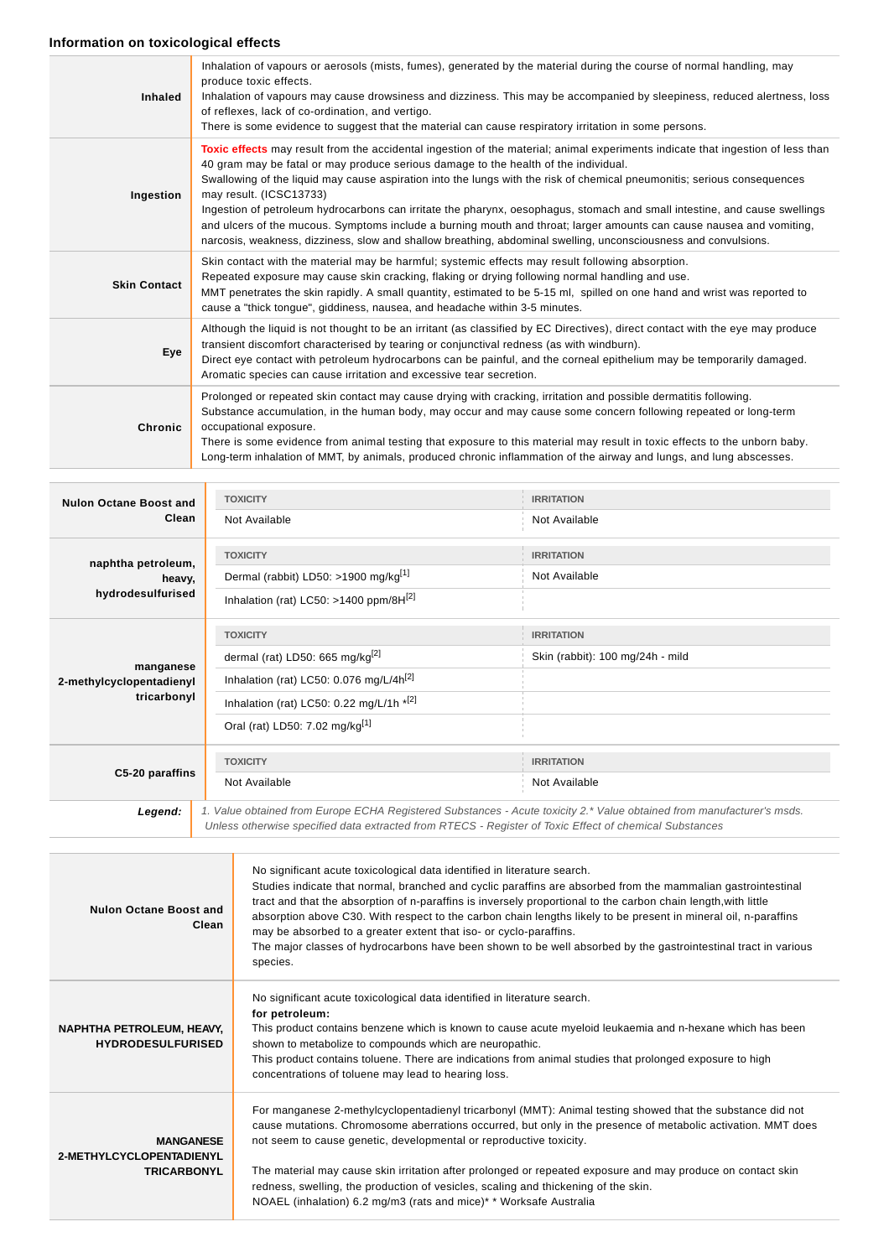## **Information on toxicological effects**

| <b>Inhaled</b>      | Inhalation of vapours or aerosols (mists, fumes), generated by the material during the course of normal handling, may<br>produce toxic effects.<br>Inhalation of vapours may cause drowsiness and dizziness. This may be accompanied by sleepiness, reduced alertness, loss<br>of reflexes, lack of co-ordination, and vertigo.<br>There is some evidence to suggest that the material can cause respiratory irritation in some persons.                                                                                                                                                                                                                                                                                                               |
|---------------------|--------------------------------------------------------------------------------------------------------------------------------------------------------------------------------------------------------------------------------------------------------------------------------------------------------------------------------------------------------------------------------------------------------------------------------------------------------------------------------------------------------------------------------------------------------------------------------------------------------------------------------------------------------------------------------------------------------------------------------------------------------|
| Ingestion           | Toxic effects may result from the accidental ingestion of the material; animal experiments indicate that ingestion of less than<br>40 gram may be fatal or may produce serious damage to the health of the individual.<br>Swallowing of the liquid may cause aspiration into the lungs with the risk of chemical pneumonitis; serious consequences<br>may result. (ICSC13733)<br>Ingestion of petroleum hydrocarbons can irritate the pharynx, oesophagus, stomach and small intestine, and cause swellings<br>and ulcers of the mucous. Symptoms include a burning mouth and throat; larger amounts can cause nausea and vomiting,<br>narcosis, weakness, dizziness, slow and shallow breathing, abdominal swelling, unconsciousness and convulsions. |
| <b>Skin Contact</b> | Skin contact with the material may be harmful; systemic effects may result following absorption.<br>Repeated exposure may cause skin cracking, flaking or drying following normal handling and use.<br>MMT penetrates the skin rapidly. A small quantity, estimated to be 5-15 ml, spilled on one hand and wrist was reported to<br>cause a "thick tongue", giddiness, nausea, and headache within 3-5 minutes.                                                                                                                                                                                                                                                                                                                                        |
| Eye                 | Although the liquid is not thought to be an irritant (as classified by EC Directives), direct contact with the eye may produce<br>transient discomfort characterised by tearing or conjunctival redness (as with windburn).<br>Direct eye contact with petroleum hydrocarbons can be painful, and the corneal epithelium may be temporarily damaged.<br>Aromatic species can cause irritation and excessive tear secretion.                                                                                                                                                                                                                                                                                                                            |
| Chronic             | Prolonged or repeated skin contact may cause drying with cracking, irritation and possible dermatitis following.<br>Substance accumulation, in the human body, may occur and may cause some concern following repeated or long-term<br>occupational exposure.<br>There is some evidence from animal testing that exposure to this material may result in toxic effects to the unborn baby.<br>Long-term inhalation of MMT, by animals, produced chronic inflammation of the airway and lungs, and lung abscesses.                                                                                                                                                                                                                                      |

| <b>Nulon Octane Boost and</b>                        | <b>TOXICITY</b>                                                                                        | <b>IRRITATION</b>                                                                                                      |  |
|------------------------------------------------------|--------------------------------------------------------------------------------------------------------|------------------------------------------------------------------------------------------------------------------------|--|
| Clean                                                | Not Available                                                                                          | Not Available                                                                                                          |  |
| naphtha petroleum,                                   | <b>TOXICITY</b>                                                                                        | <b>IRRITATION</b>                                                                                                      |  |
| heavy,                                               | Dermal (rabbit) LD50: >1900 mg/kg <sup>[1]</sup>                                                       | Not Available                                                                                                          |  |
| hydrodesulfurised                                    | Inhalation (rat) LC50: >1400 ppm/8H $^{[2]}$                                                           |                                                                                                                        |  |
|                                                      | <b>TOXICITY</b>                                                                                        | <b>IRRITATION</b>                                                                                                      |  |
| manganese<br>2-methylcyclopentadienyl<br>tricarbonyl | dermal (rat) LD50: 665 mg/kg <sup>[2]</sup>                                                            | Skin (rabbit): 100 mg/24h - mild                                                                                       |  |
|                                                      | Inhalation (rat) LC50: 0.076 mg/L/4h <sup>[2]</sup>                                                    |                                                                                                                        |  |
|                                                      | Inhalation (rat) LC50: 0.22 mg/L/1h $*$ <sup>[2]</sup>                                                 |                                                                                                                        |  |
|                                                      | Oral (rat) LD50: 7.02 mg/kg <sup>[1]</sup>                                                             |                                                                                                                        |  |
|                                                      | <b>TOXICITY</b>                                                                                        | <b>IRRITATION</b>                                                                                                      |  |
| C5-20 paraffins                                      | Not Available                                                                                          | Not Available                                                                                                          |  |
| Legend:                                              |                                                                                                        | 1. Value obtained from Europe ECHA Registered Substances - Acute toxicity 2.* Value obtained from manufacturer's msds. |  |
|                                                      | Unless otherwise specified data extracted from RTECS - Register of Toxic Effect of chemical Substances |                                                                                                                        |  |

| Nulon Octane Boost and<br>Clean                                    | No significant acute toxicological data identified in literature search.<br>Studies indicate that normal, branched and cyclic paraffins are absorbed from the mammalian gastrointestinal<br>tract and that the absorption of n-paraffins is inversely proportional to the carbon chain length, with little<br>absorption above C30. With respect to the carbon chain lengths likely to be present in mineral oil, n-paraffins<br>may be absorbed to a greater extent that iso- or cyclo-paraffins.<br>The major classes of hydrocarbons have been shown to be well absorbed by the gastrointestinal tract in various<br>species. |
|--------------------------------------------------------------------|----------------------------------------------------------------------------------------------------------------------------------------------------------------------------------------------------------------------------------------------------------------------------------------------------------------------------------------------------------------------------------------------------------------------------------------------------------------------------------------------------------------------------------------------------------------------------------------------------------------------------------|
| NAPHTHA PETROLEUM, HEAVY,<br><b>HYDRODESULFURISED</b>              | No significant acute toxicological data identified in literature search.<br>for petroleum:<br>This product contains benzene which is known to cause acute myeloid leukaemia and n-hexane which has been<br>shown to metabolize to compounds which are neuropathic.<br>This product contains toluene. There are indications from animal studies that prolonged exposure to high<br>concentrations of toluene may lead to hearing loss.                                                                                                                                                                                            |
| <b>MANGANESE</b><br>2-METHYLCYCLOPENTADIENYL<br><b>TRICARBONYL</b> | For manganese 2-methylcyclopentadienyl tricarbonyl (MMT): Animal testing showed that the substance did not<br>cause mutations. Chromosome aberrations occurred, but only in the presence of metabolic activation. MMT does<br>not seem to cause genetic, developmental or reproductive toxicity.<br>The material may cause skin irritation after prolonged or repeated exposure and may produce on contact skin<br>redness, swelling, the production of vesicles, scaling and thickening of the skin.<br>NOAEL (inhalation) 6.2 mg/m3 (rats and mice)* * Worksafe Australia                                                      |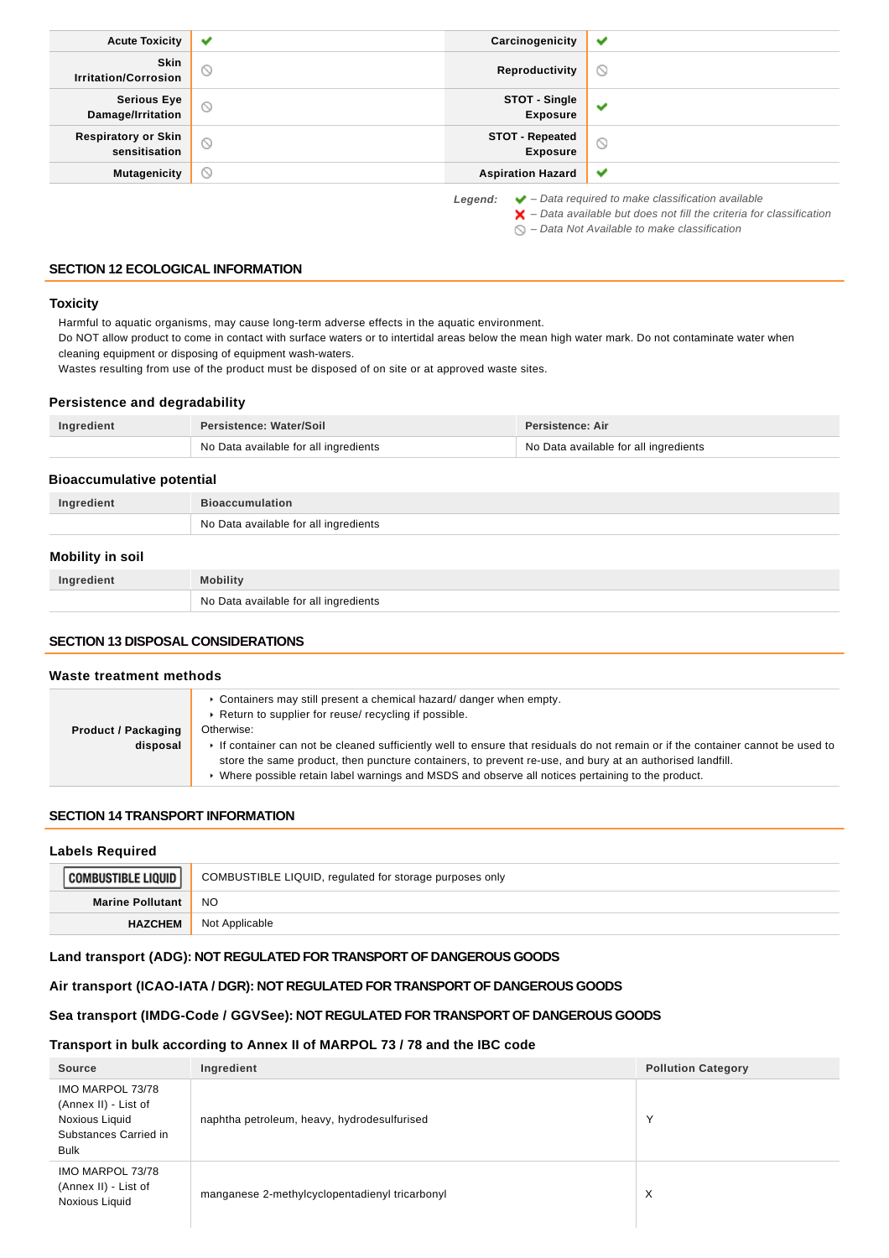| <b>Acute Toxicity</b>                       | ✔                   | Carcinogenicity                           | ✔                                                                      |
|---------------------------------------------|---------------------|-------------------------------------------|------------------------------------------------------------------------|
| <b>Skin</b><br><b>Irritation/Corrosion</b>  | $\circ$             | Reproductivity                            | $\odot$                                                                |
| <b>Serious Eye</b><br>Damage/Irritation     | $\circ$             | STOT - Single<br><b>Exposure</b>          | ✔                                                                      |
| <b>Respiratory or Skin</b><br>sensitisation | $\circ$             | <b>STOT - Repeated</b><br><b>Exposure</b> | $\circledcirc$                                                         |
| <b>Mutagenicity</b>                         | $\circlearrowright$ | <b>Aspiration Hazard</b>                  | ✔                                                                      |
|                                             |                     | Legend:                                   | $\blacktriangleright$ - Data required to make classification available |

 $\blacktriangleright$  – Data available but does not fill the criteria for classification

 $\bigcirc$  – Data Not Available to make classification

## **SECTION 12 ECOLOGICAL INFORMATION**

#### **Toxicity**

Harmful to aquatic organisms, may cause long-term adverse effects in the aquatic environment.

Do NOT allow product to come in contact with surface waters or to intertidal areas below the mean high water mark. Do not contaminate water when cleaning equipment or disposing of equipment wash-waters.

Wastes resulting from use of the product must be disposed of on site or at approved waste sites.

## **Persistence and degradability**

| Ingredient | Persistence: Water/Soil               | Persistence: Air                      |
|------------|---------------------------------------|---------------------------------------|
|            | No Data available for all ingredients | No Data available for all ingredients |

## **Bioaccumulative potential**

| Ingredient              | <b>Bioaccumulation</b>                |
|-------------------------|---------------------------------------|
|                         | No Data available for all ingredients |
| <b>Mobility in soil</b> |                                       |
| Ingredient              | <b>Mobility</b>                       |
|                         | No Data available for all ingredients |

#### **SECTION 13 DISPOSAL CONSIDERATIONS**

#### **Waste treatment methods**

|                            | ► Containers may still present a chemical hazard/ danger when empty.<br>▶ Return to supplier for reuse/ recycling if possible.                                                                                                             |  |
|----------------------------|--------------------------------------------------------------------------------------------------------------------------------------------------------------------------------------------------------------------------------------------|--|
| <b>Product / Packaging</b> | Otherwise:                                                                                                                                                                                                                                 |  |
| disposal                   | If container can not be cleaned sufficiently well to ensure that residuals do not remain or if the container cannot be used to<br>store the same product, then puncture containers, to prevent re-use, and bury at an authorised landfill. |  |
|                            | ► Where possible retain label warnings and MSDS and observe all notices pertaining to the product.                                                                                                                                         |  |

## **SECTION 14 TRANSPORT INFORMATION**

#### **Labels Required**

| BUSTIBLE LIQUID         | COMBUSTIBLE LIQUID, regulated for storage purposes only |
|-------------------------|---------------------------------------------------------|
| <b>Marine Pollutant</b> | <b>NO</b>                                               |
| <b>HAZCHEM</b>          | Not Applicable                                          |

## **Land transport (ADG): NOT REGULATED FOR TRANSPORT OF DANGEROUS GOODS**

## **Air transport (ICAO-IATA / DGR): NOT REGULATED FOR TRANSPORT OF DANGEROUS GOODS**

## **Sea transport (IMDG-Code / GGVSee): NOT REGULATED FOR TRANSPORT OF DANGEROUS GOODS**

## **Transport in bulk according to Annex II of MARPOL 73 / 78 and the IBC code**

| Source                                                                                             | Ingredient                                     | <b>Pollution Category</b> |
|----------------------------------------------------------------------------------------------------|------------------------------------------------|---------------------------|
| IMO MARPOL 73/78<br>(Annex II) - List of<br>Noxious Liquid<br>Substances Carried in<br><b>Bulk</b> | naphtha petroleum, heavy, hydrodesulfurised    |                           |
| IMO MARPOL 73/78<br>(Annex II) - List of<br>Noxious Liquid                                         | manganese 2-methylcyclopentadienyl tricarbonyl | X                         |